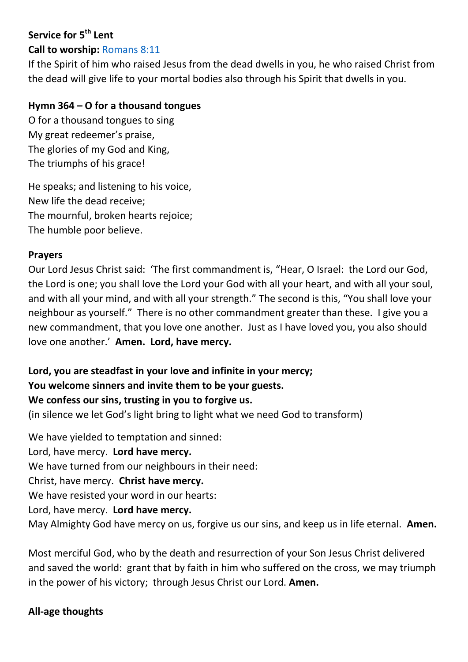## **Service for 5 th Lent**

# **Call to worship:** [Romans 8:11](https://www.biblegateway.com/passage/?search=Romans+8%3A+11&version=NIV)

If the Spirit of him who raised Jesus from the dead dwells in you, he who raised Christ from the dead will give life to your mortal bodies also through his Spirit that dwells in you.

### **Hymn 364 – O for a thousand tongues**

O for a thousand tongues to sing My great redeemer's praise, The glories of my God and King, The triumphs of his grace!

He speaks; and listening to his voice, New life the dead receive; The mournful, broken hearts rejoice; The humble poor believe.

### **Prayers**

Our Lord Jesus Christ said: 'The first commandment is, "Hear, O Israel: the Lord our God, the Lord is one; you shall love the Lord your God with all your heart, and with all your soul, and with all your mind, and with all your strength." The second is this, "You shall love your neighbour as yourself." There is no other commandment greater than these. I give you a new commandment, that you love one another. Just as I have loved you, you also should love one another.' **Amen. Lord, have mercy.**

**Lord, you are steadfast in your love and infinite in your mercy; You welcome sinners and invite them to be your guests. We confess our sins, trusting in you to forgive us.**

(in silence we let God's light bring to light what we need God to transform)

We have yielded to temptation and sinned: Lord, have mercy. **Lord have mercy.** We have turned from our neighbours in their need: Christ, have mercy. **Christ have mercy.** We have resisted your word in our hearts: Lord, have mercy. **Lord have mercy.** May Almighty God have mercy on us, forgive us our sins, and keep us in life eternal. **Amen.**

Most merciful God, who by the death and resurrection of your Son Jesus Christ delivered and saved the world: grant that by faith in him who suffered on the cross, we may triumph in the power of his victory; through Jesus Christ our Lord. **Amen.**

### **All-age thoughts**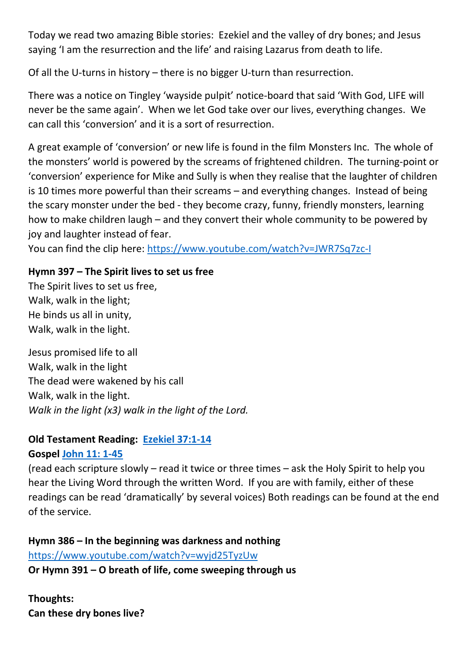Today we read two amazing Bible stories: Ezekiel and the valley of dry bones; and Jesus saying 'I am the resurrection and the life' and raising Lazarus from death to life.

Of all the U-turns in history – there is no bigger U-turn than resurrection.

There was a notice on Tingley 'wayside pulpit' notice-board that said 'With God, LIFE will never be the same again'. When we let God take over our lives, everything changes. We can call this 'conversion' and it is a sort of resurrection.

A great example of 'conversion' or new life is found in the film Monsters Inc. The whole of the monsters' world is powered by the screams of frightened children. The turning-point or 'conversion' experience for Mike and Sully is when they realise that the laughter of children is 10 times more powerful than their screams – and everything changes. Instead of being the scary monster under the bed - they become crazy, funny, friendly monsters, learning how to make children laugh – and they convert their whole community to be powered by joy and laughter instead of fear.

You can find the clip here:<https://www.youtube.com/watch?v=JWR7Sq7zc-I>

## **Hymn 397 – The Spirit lives to set us free**

The Spirit lives to set us free, Walk, walk in the light; He binds us all in unity, Walk, walk in the light.

Jesus promised life to all Walk, walk in the light The dead were wakened by his call Walk, walk in the light. *Walk in the light (x3) walk in the light of the Lord.*

## **Old Testament Reading: [Ezekiel 37:1-14](https://www.biblegateway.com/passage/?search=Ezekiel+37%3A1-14&version=NIV)**

### **Gospel [John 11: 1-45](https://www.biblegateway.com/passage/?search=John+11%3A+1-45&version=NIV)**

(read each scripture slowly – read it twice or three times – ask the Holy Spirit to help you hear the Living Word through the written Word. If you are with family, either of these readings can be read 'dramatically' by several voices) Both readings can be found at the end of the service.

**Hymn 386 – In the beginning was darkness and nothing** <https://www.youtube.com/watch?v=wyjd25TyzUw> **Or Hymn 391 – O breath of life, come sweeping through us**

**Thoughts: Can these dry bones live?**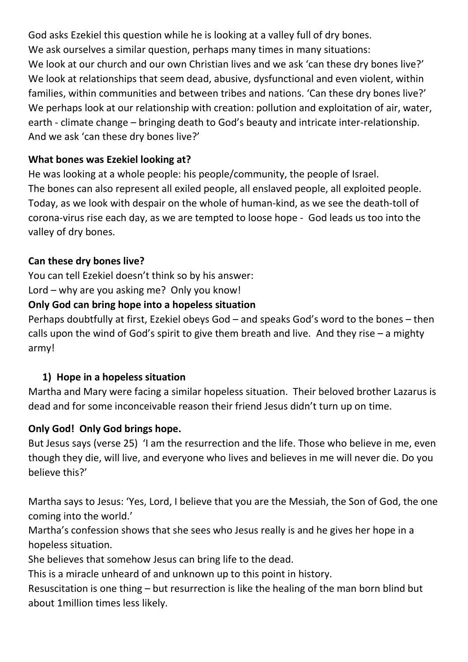God asks Ezekiel this question while he is looking at a valley full of dry bones. We ask ourselves a similar question, perhaps many times in many situations: We look at our church and our own Christian lives and we ask 'can these dry bones live?' We look at relationships that seem dead, abusive, dysfunctional and even violent, within families, within communities and between tribes and nations. 'Can these dry bones live?' We perhaps look at our relationship with creation: pollution and exploitation of air, water, earth - climate change – bringing death to God's beauty and intricate inter-relationship. And we ask 'can these dry bones live?'

### **What bones was Ezekiel looking at?**

He was looking at a whole people: his people/community, the people of Israel. The bones can also represent all exiled people, all enslaved people, all exploited people. Today, as we look with despair on the whole of human-kind, as we see the death-toll of corona-virus rise each day, as we are tempted to loose hope - God leads us too into the valley of dry bones.

## **Can these dry bones live?**

You can tell Ezekiel doesn't think so by his answer:

Lord – why are you asking me? Only you know!

## **Only God can bring hope into a hopeless situation**

Perhaps doubtfully at first, Ezekiel obeys God – and speaks God's word to the bones – then calls upon the wind of God's spirit to give them breath and live. And they rise  $-$  a mighty army!

## **1) Hope in a hopeless situation**

Martha and Mary were facing a similar hopeless situation. Their beloved brother Lazarus is dead and for some inconceivable reason their friend Jesus didn't turn up on time.

## **Only God! Only God brings hope.**

But Jesus says (verse 25) 'I am the resurrection and the life. Those who believe in me, even though they die, will live, and everyone who lives and believes in me will never die. Do you believe this?'

Martha says to Jesus: 'Yes, Lord, I believe that you are the Messiah, the Son of God, the one coming into the world.'

Martha's confession shows that she sees who Jesus really is and he gives her hope in a hopeless situation.

She believes that somehow Jesus can bring life to the dead.

This is a miracle unheard of and unknown up to this point in history.

Resuscitation is one thing – but resurrection is like the healing of the man born blind but about 1million times less likely.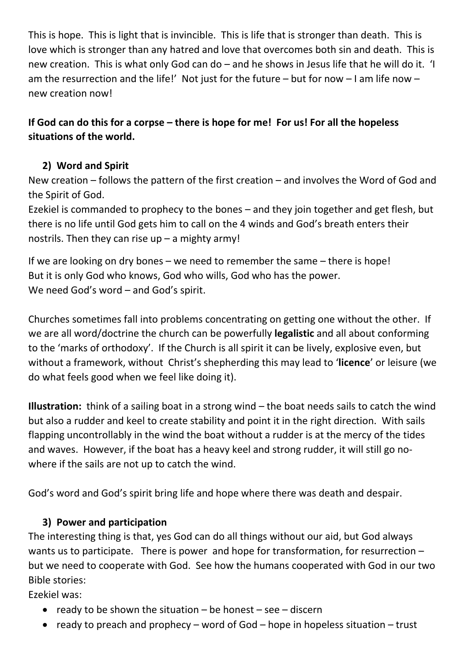This is hope. This is light that is invincible. This is life that is stronger than death. This is love which is stronger than any hatred and love that overcomes both sin and death. This is new creation. This is what only God can do – and he shows in Jesus life that he will do it. 'I am the resurrection and the life!' Not just for the future – but for now – I am life now – new creation now!

## **If God can do this for a corpse – there is hope for me! For us! For all the hopeless situations of the world.**

## **2) Word and Spirit**

New creation – follows the pattern of the first creation – and involves the Word of God and the Spirit of God.

Ezekiel is commanded to prophecy to the bones – and they join together and get flesh, but there is no life until God gets him to call on the 4 winds and God's breath enters their nostrils. Then they can rise  $up - a$  mighty army!

If we are looking on dry bones – we need to remember the same – there is hope! But it is only God who knows, God who wills, God who has the power. We need God's word – and God's spirit.

Churches sometimes fall into problems concentrating on getting one without the other. If we are all word/doctrine the church can be powerfully **legalistic** and all about conforming to the 'marks of orthodoxy'. If the Church is all spirit it can be lively, explosive even, but without a framework, without Christ's shepherding this may lead to '**licence**' or leisure (we do what feels good when we feel like doing it).

**Illustration:** think of a sailing boat in a strong wind – the boat needs sails to catch the wind but also a rudder and keel to create stability and point it in the right direction. With sails flapping uncontrollably in the wind the boat without a rudder is at the mercy of the tides and waves. However, if the boat has a heavy keel and strong rudder, it will still go nowhere if the sails are not up to catch the wind.

God's word and God's spirit bring life and hope where there was death and despair.

## **3) Power and participation**

The interesting thing is that, yes God can do all things without our aid, but God always wants us to participate. There is power and hope for transformation, for resurrection – but we need to cooperate with God. See how the humans cooperated with God in our two Bible stories:

Ezekiel was:

- ready to be shown the situation  $-$  be honest  $-$  see  $-$  discern
- ready to preach and prophecy word of God hope in hopeless situation trust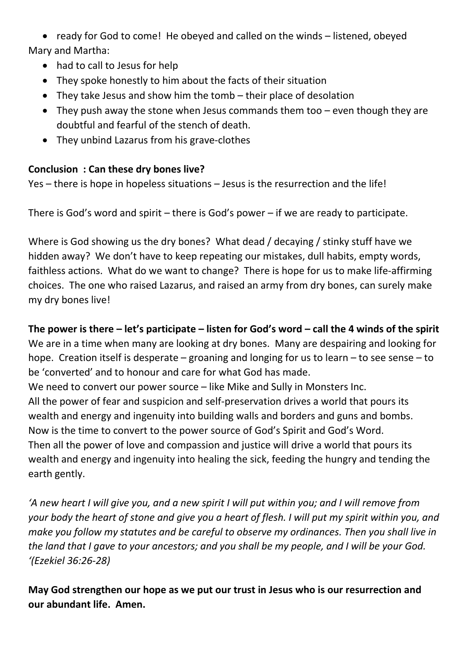ready for God to come! He obeyed and called on the winds – listened, obeyed Mary and Martha:

- had to call to Jesus for help
- They spoke honestly to him about the facts of their situation
- They take Jesus and show him the tomb their place of desolation
- They push away the stone when Jesus commands them too even though they are doubtful and fearful of the stench of death.
- They unbind Lazarus from his grave-clothes

## **Conclusion : Can these dry bones live?**

Yes – there is hope in hopeless situations – Jesus is the resurrection and the life!

There is God's word and spirit – there is God's power – if we are ready to participate.

Where is God showing us the dry bones? What dead / decaying / stinky stuff have we hidden away? We don't have to keep repeating our mistakes, dull habits, empty words, faithless actions. What do we want to change? There is hope for us to make life-affirming choices. The one who raised Lazarus, and raised an army from dry bones, can surely make my dry bones live!

## **The power is there – let's participate – listen for God's word – call the 4 winds of the spirit**

We are in a time when many are looking at dry bones. Many are despairing and looking for hope. Creation itself is desperate – groaning and longing for us to learn – to see sense – to be 'converted' and to honour and care for what God has made.

We need to convert our power source – like Mike and Sully in Monsters Inc.

All the power of fear and suspicion and self-preservation drives a world that pours its wealth and energy and ingenuity into building walls and borders and guns and bombs. Now is the time to convert to the power source of God's Spirit and God's Word. Then all the power of love and compassion and justice will drive a world that pours its wealth and energy and ingenuity into healing the sick, feeding the hungry and tending the earth gently.

*'A new heart I will give you, and a new spirit I will put within you; and I will remove from your body the heart of stone and give you a heart of flesh. I will put my spirit within you, and make you follow my statutes and be careful to observe my ordinances. Then you shall live in the land that I gave to your ancestors; and you shall be my people, and I will be your God. '(Ezekiel 36:26-28)*

**May God strengthen our hope as we put our trust in Jesus who is our resurrection and our abundant life. Amen.**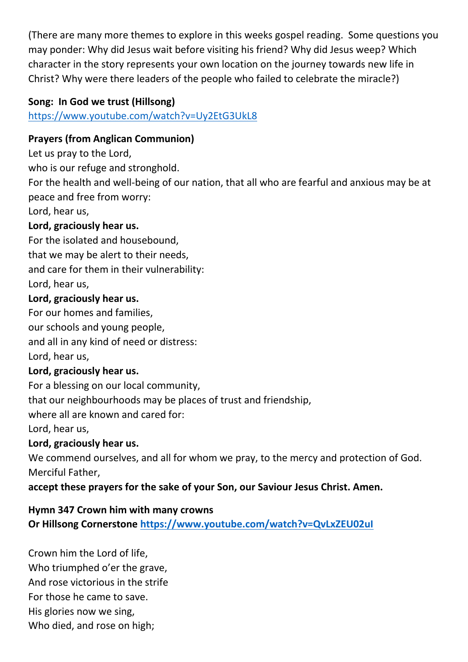(There are many more themes to explore in this weeks gospel reading. Some questions you may ponder: Why did Jesus wait before visiting his friend? Why did Jesus weep? Which character in the story represents your own location on the journey towards new life in Christ? Why were there leaders of the people who failed to celebrate the miracle?)

## **Song: In God we trust (Hillsong)**

<https://www.youtube.com/watch?v=Uy2EtG3UkL8>

## **Prayers (from Anglican Communion)**

Let us pray to the Lord,

who is our refuge and stronghold.

For the health and well-being of our nation, that all who are fearful and anxious may be at peace and free from worry:

Lord, hear us,

### **Lord, graciously hear us.**

For the isolated and housebound, that we may be alert to their needs, and care for them in their vulnerability: Lord, hear us,

### **Lord, graciously hear us.**

For our homes and families,

our schools and young people,

and all in any kind of need or distress:

Lord, hear us,

### **Lord, graciously hear us.**

For a blessing on our local community,

that our neighbourhoods may be places of trust and friendship,

where all are known and cared for:

Lord, hear us,

## **Lord, graciously hear us.**

We commend ourselves, and all for whom we pray, to the mercy and protection of God. Merciful Father,

### **accept these prayers for the sake of your Son, our Saviour Jesus Christ. Amen.**

## **Hymn 347 Crown him with many crowns**

**Or Hillsong Cornerstone<https://www.youtube.com/watch?v=QvLxZEU02uI>**

Crown him the Lord of life, Who triumphed o'er the grave, And rose victorious in the strife For those he came to save. His glories now we sing, Who died, and rose on high;